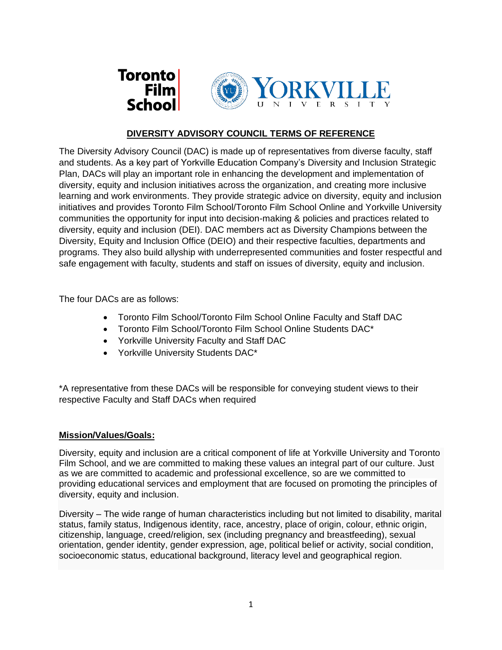

## **DIVERSITY ADVISORY COUNCIL TERMS OF REFERENCE**

The Diversity Advisory Council (DAC) is made up of representatives from diverse faculty, staff and students. As a key part of Yorkville Education Company's Diversity and Inclusion Strategic Plan, DACs will play an important role in enhancing the development and implementation of diversity, equity and inclusion initiatives across the organization, and creating more inclusive learning and work environments. They provide strategic advice on diversity, equity and inclusion initiatives and provides Toronto Film School/Toronto Film School Online and Yorkville University communities the opportunity for input into decision-making & policies and practices related to diversity, equity and inclusion (DEI). DAC members act as Diversity Champions between the Diversity, Equity and Inclusion Office (DEIO) and their respective faculties, departments and programs. They also build allyship with underrepresented communities and foster respectful and safe engagement with faculty, students and staff on issues of diversity, equity and inclusion.

The four DACs are as follows:

- Toronto Film School/Toronto Film School Online Faculty and Staff DAC
- Toronto Film School/Toronto Film School Online Students DAC\*
- Yorkville University Faculty and Staff DAC
- Yorkville University Students DAC\*

\*A representative from these DACs will be responsible for conveying student views to their respective Faculty and Staff DACs when required

### **Mission/Values/Goals:**

Diversity, equity and inclusion are a critical component of life at Yorkville University and Toronto Film School, and we are committed to making these values an integral part of our culture. Just as we are committed to academic and professional excellence, so are we committed to providing educational services and employment that are focused on promoting the principles of diversity, equity and inclusion.

Diversity – The wide range of human characteristics including but not limited to disability, marital status, family status, Indigenous identity, race, ancestry, place of origin, colour, ethnic origin, citizenship, language, creed/religion, sex (including pregnancy and breastfeeding), sexual orientation, gender identity, gender expression, age, political belief or activity, social condition, socioeconomic status, educational background, literacy level and geographical region.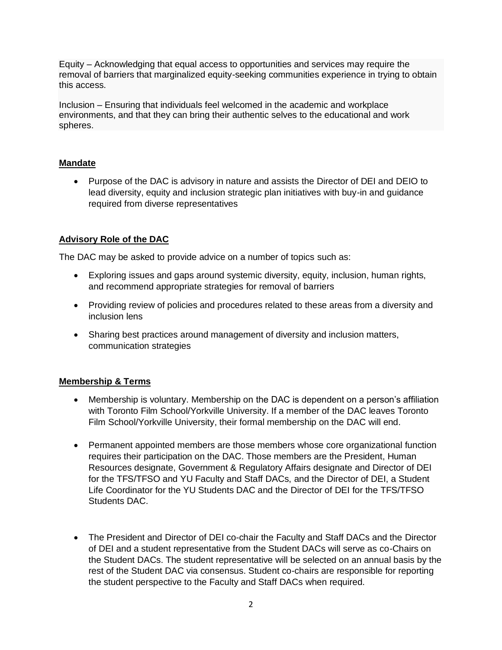Equity – Acknowledging that equal access to opportunities and services may require the removal of barriers that marginalized equity-seeking communities experience in trying to obtain this access.

Inclusion – Ensuring that individuals feel welcomed in the academic and workplace environments, and that they can bring their authentic selves to the educational and work spheres.

# **Mandate**

• Purpose of the DAC is advisory in nature and assists the Director of DEI and DEIO to lead diversity, equity and inclusion strategic plan initiatives with buy-in and guidance required from diverse representatives

# **Advisory Role of the DAC**

The DAC may be asked to provide advice on a number of topics such as:

- Exploring issues and gaps around systemic diversity, equity, inclusion, human rights, and recommend appropriate strategies for removal of barriers
- Providing review of policies and procedures related to these areas from a diversity and inclusion lens
- Sharing best practices around management of diversity and inclusion matters, communication strategies

# **Membership & Terms**

- Membership is voluntary. Membership on the DAC is dependent on a person's affiliation with Toronto Film School/Yorkville University. If a member of the DAC leaves Toronto Film School/Yorkville University, their formal membership on the DAC will end.
- Permanent appointed members are those members whose core organizational function requires their participation on the DAC. Those members are the President, Human Resources designate, Government & Regulatory Affairs designate and Director of DEI for the TFS/TFSO and YU Faculty and Staff DACs, and the Director of DEI, a Student Life Coordinator for the YU Students DAC and the Director of DEI for the TFS/TFSO Students DAC.
- The President and Director of DEI co-chair the Faculty and Staff DACs and the Director of DEI and a student representative from the Student DACs will serve as co-Chairs on the Student DACs. The student representative will be selected on an annual basis by the rest of the Student DAC via consensus. Student co-chairs are responsible for reporting the student perspective to the Faculty and Staff DACs when required.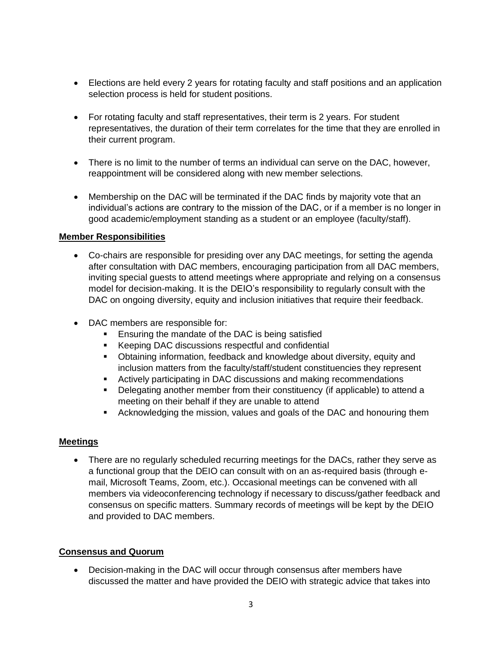- Elections are held every 2 years for rotating faculty and staff positions and an application selection process is held for student positions.
- For rotating faculty and staff representatives, their term is 2 years. For student representatives, the duration of their term correlates for the time that they are enrolled in their current program.
- There is no limit to the number of terms an individual can serve on the DAC, however, reappointment will be considered along with new member selections.
- Membership on the DAC will be terminated if the DAC finds by majority vote that an individual's actions are contrary to the mission of the DAC, or if a member is no longer in good academic/employment standing as a student or an employee (faculty/staff).

### **Member Responsibilities**

- Co-chairs are responsible for presiding over any DAC meetings, for setting the agenda after consultation with DAC members, encouraging participation from all DAC members, inviting special guests to attend meetings where appropriate and relying on a consensus model for decision-making. It is the DEIO's responsibility to regularly consult with the DAC on ongoing diversity, equity and inclusion initiatives that require their feedback.
- DAC members are responsible for:
	- **Ensuring the mandate of the DAC is being satisfied**
	- Keeping DAC discussions respectful and confidential
	- **Obtaining information, feedback and knowledge about diversity, equity and** inclusion matters from the faculty/staff/student constituencies they represent
	- Actively participating in DAC discussions and making recommendations
	- Delegating another member from their constituency (if applicable) to attend a meeting on their behalf if they are unable to attend
	- **EXE** Acknowledging the mission, values and goals of the DAC and honouring them

### **Meetings**

• There are no regularly scheduled recurring meetings for the DACs, rather they serve as a functional group that the DEIO can consult with on an as-required basis (through email, Microsoft Teams, Zoom, etc.). Occasional meetings can be convened with all members via videoconferencing technology if necessary to discuss/gather feedback and consensus on specific matters. Summary records of meetings will be kept by the DEIO and provided to DAC members.

### **Consensus and Quorum**

• Decision-making in the DAC will occur through consensus after members have discussed the matter and have provided the DEIO with strategic advice that takes into